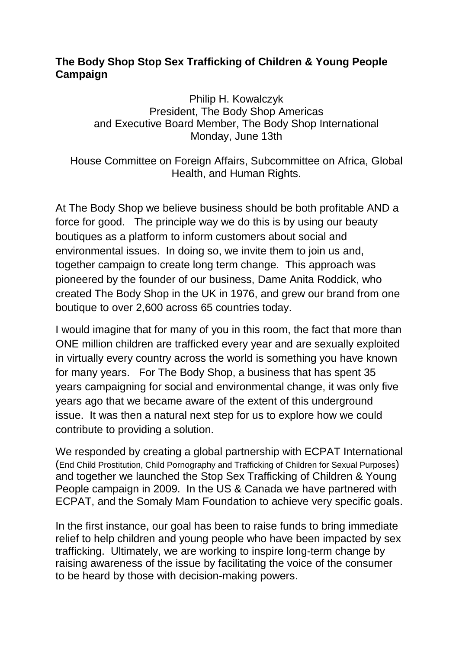## **The Body Shop Stop Sex Trafficking of Children & Young People Campaign**

Philip H. Kowalczyk President, The Body Shop Americas and Executive Board Member, The Body Shop International Monday, June 13th

House Committee on Foreign Affairs, Subcommittee on Africa, Global Health, and Human Rights.

At The Body Shop we believe business should be both profitable AND a force for good. The principle way we do this is by using our beauty boutiques as a platform to inform customers about social and environmental issues. In doing so, we invite them to join us and, together campaign to create long term change. This approach was pioneered by the founder of our business, Dame Anita Roddick, who created The Body Shop in the UK in 1976, and grew our brand from one boutique to over 2,600 across 65 countries today.

I would imagine that for many of you in this room, the fact that more than ONE million children are trafficked every year and are sexually exploited in virtually every country across the world is something you have known for many years. For The Body Shop, a business that has spent 35 years campaigning for social and environmental change, it was only five years ago that we became aware of the extent of this underground issue. It was then a natural next step for us to explore how we could contribute to providing a solution.

We responded by creating a global partnership with ECPAT International (End Child Prostitution, Child Pornography and Trafficking of Children for Sexual Purposes) and together we launched the Stop Sex Trafficking of Children & Young People campaign in 2009. In the US & Canada we have partnered with ECPAT, and the Somaly Mam Foundation to achieve very specific goals.

In the first instance, our goal has been to raise funds to bring immediate relief to help children and young people who have been impacted by sex trafficking. Ultimately, we are working to inspire long-term change by raising awareness of the issue by facilitating the voice of the consumer to be heard by those with decision-making powers.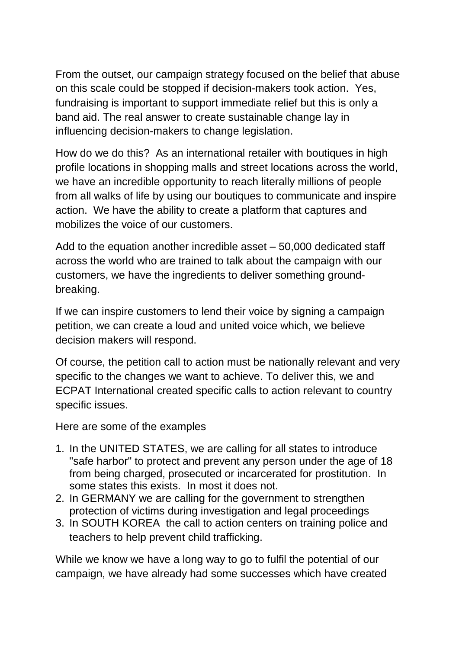From the outset, our campaign strategy focused on the belief that abuse on this scale could be stopped if decision-makers took action. Yes, fundraising is important to support immediate relief but this is only a band aid. The real answer to create sustainable change lay in influencing decision-makers to change legislation.

How do we do this? As an international retailer with boutiques in high profile locations in shopping malls and street locations across the world, we have an incredible opportunity to reach literally millions of people from all walks of life by using our boutiques to communicate and inspire action. We have the ability to create a platform that captures and mobilizes the voice of our customers.

Add to the equation another incredible asset – 50,000 dedicated staff across the world who are trained to talk about the campaign with our customers, we have the ingredients to deliver something groundbreaking.

If we can inspire customers to lend their voice by signing a campaign petition, we can create a loud and united voice which, we believe decision makers will respond.

Of course, the petition call to action must be nationally relevant and very specific to the changes we want to achieve. To deliver this, we and ECPAT International created specific calls to action relevant to country specific issues.

Here are some of the examples

- 1. In the UNITED STATES, we are calling for all states to introduce "safe harbor" to protect and prevent any person under the age of 18 from being charged, prosecuted or incarcerated for prostitution. In some states this exists. In most it does not.
- 2. In GERMANY we are calling for the government to strengthen protection of victims during investigation and legal proceedings
- 3. In SOUTH KOREA the call to action centers on training police and teachers to help prevent child trafficking.

While we know we have a long way to go to fulfil the potential of our campaign, we have already had some successes which have created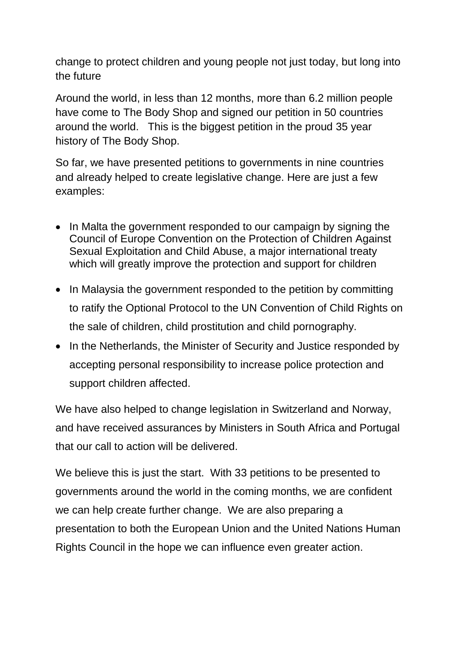change to protect children and young people not just today, but long into the future

Around the world, in less than 12 months, more than 6.2 million people have come to The Body Shop and signed our petition in 50 countries around the world. This is the biggest petition in the proud 35 year history of The Body Shop.

So far, we have presented petitions to governments in nine countries and already helped to create legislative change. Here are just a few examples:

- In Malta the government responded to our campaign by signing the Council of Europe Convention on the Protection of Children Against Sexual Exploitation and Child Abuse, a major international treaty which will greatly improve the protection and support for children
- In Malaysia the government responded to the petition by committing to ratify the Optional Protocol to the UN Convention of Child Rights on the sale of children, child prostitution and child pornography.
- In the Netherlands, the Minister of Security and Justice responded by accepting personal responsibility to increase police protection and support children affected.

We have also helped to change legislation in Switzerland and Norway, and have received assurances by Ministers in South Africa and Portugal that our call to action will be delivered.

We believe this is just the start. With 33 petitions to be presented to governments around the world in the coming months, we are confident we can help create further change. We are also preparing a presentation to both the European Union and the United Nations Human Rights Council in the hope we can influence even greater action.